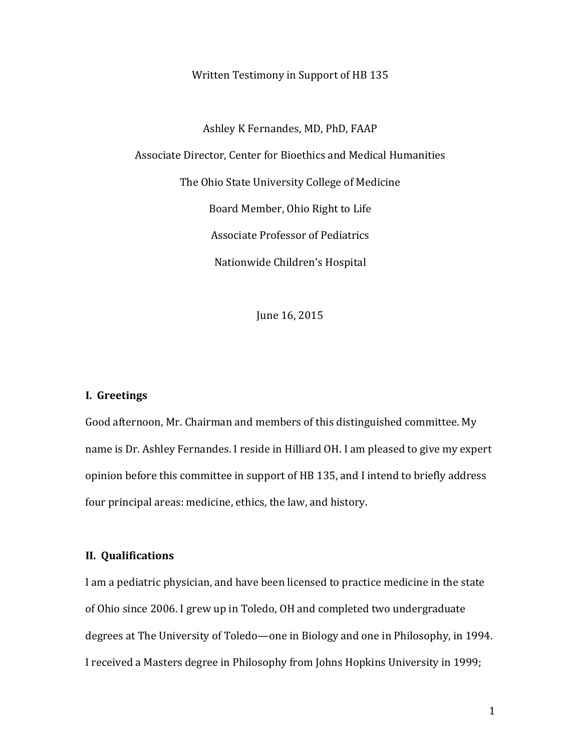Written Testimony in Support of HB 135

Ashley K Fernandes, MD, PhD, FAAP Associate Director, Center for Bioethics and Medical Humanities The Ohio State University College of Medicine Board Member, Ohio Right to Life Associate Professor of Pediatrics Nationwide Children's Hospital

June 16, 2015

## **I. Greetings**

Good afternoon, Mr. Chairman and members of this distinguished committee. My name is Dr. Ashley Fernandes. I reside in Hilliard OH. I am pleased to give my expert opinion before this committee in support of HB 135, and I intend to briefly address four principal areas: medicine, ethics, the law, and history.

### **II. Qualifications**

I am a pediatric physician, and have been licensed to practice medicine in the state of Ohio since 2006. I grew up in Toledo, OH and completed two undergraduate degrees at The University of Toledo—one in Biology and one in Philosophy, in 1994. I received a Masters degree in Philosophy from Johns Hopkins University in 1999;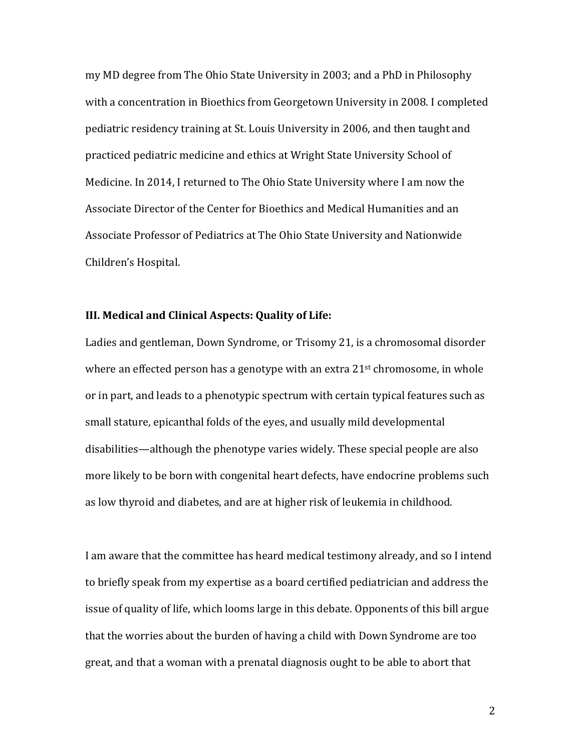my MD degree from The Ohio State University in 2003; and a PhD in Philosophy with a concentration in Bioethics from Georgetown University in 2008. I completed pediatric residency training at St. Louis University in 2006, and then taught and practiced pediatric medicine and ethics at Wright State University School of Medicine. In 2014, I returned to The Ohio State University where I am now the Associate Director of the Center for Bioethics and Medical Humanities and an Associate Professor of Pediatrics at The Ohio State University and Nationwide Children's Hospital.

## **III. Medical and Clinical Aspects: Quality of Life:**

Ladies and gentleman, Down Syndrome, or Trisomy 21, is a chromosomal disorder where an effected person has a genotype with an extra 21<sup>st</sup> chromosome, in whole or in part, and leads to a phenotypic spectrum with certain typical features such as small stature, epicanthal folds of the eyes, and usually mild developmental disabilities—although the phenotype varies widely. These special people are also more likely to be born with congenital heart defects, have endocrine problems such as low thyroid and diabetes, and are at higher risk of leukemia in childhood.

I am aware that the committee has heard medical testimony already, and so I intend to briefly speak from my expertise as a board certified pediatrician and address the issue of quality of life, which looms large in this debate. Opponents of this bill argue that the worries about the burden of having a child with Down Syndrome are too great, and that a woman with a prenatal diagnosis ought to be able to abort that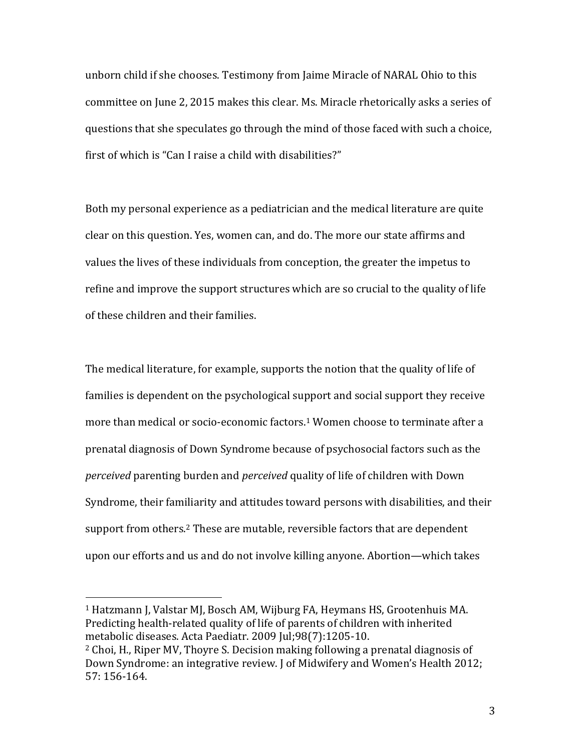unborn child if she chooses. Testimony from Jaime Miracle of NARAL Ohio to this committee on June 2, 2015 makes this clear. Ms. Miracle rhetorically asks a series of questions that she speculates go through the mind of those faced with such a choice, first of which is "Can I raise a child with disabilities?"

Both my personal experience as a pediatrician and the medical literature are quite clear on this question. Yes, women can, and do. The more our state affirms and values the lives of these individuals from conception, the greater the impetus to refine and improve the support structures which are so crucial to the quality of life of these children and their families.

The medical literature, for example, supports the notion that the quality of life of families is dependent on the psychological support and social support they receive more than medical or socio-economic factors.<sup>1</sup> Women choose to terminate after a prenatal diagnosis of Down Syndrome because of psychosocial factors such as the *perceived* parenting burden and *perceived* quality of life of children with Down Syndrome, their familiarity and attitudes toward persons with disabilities, and their support from others.<sup>2</sup> These are mutable, reversible factors that are dependent upon our efforts and us and do not involve killing anyone. Abortion—which takes

 $\overline{\phantom{a}}$ 

<sup>1</sup> Hatzmann J, Valstar MJ, Bosch AM, Wijburg FA, Heymans HS, Grootenhuis MA. Predicting health-related quality of life of parents of children with inherited metabolic diseases. Acta Paediatr. 2009 Jul;98(7):1205-10.

<sup>2</sup> Choi, H., Riper MV, Thoyre S. Decision making following a prenatal diagnosis of Down Syndrome: an integrative review. J of Midwifery and Women's Health 2012; 57: 156-164.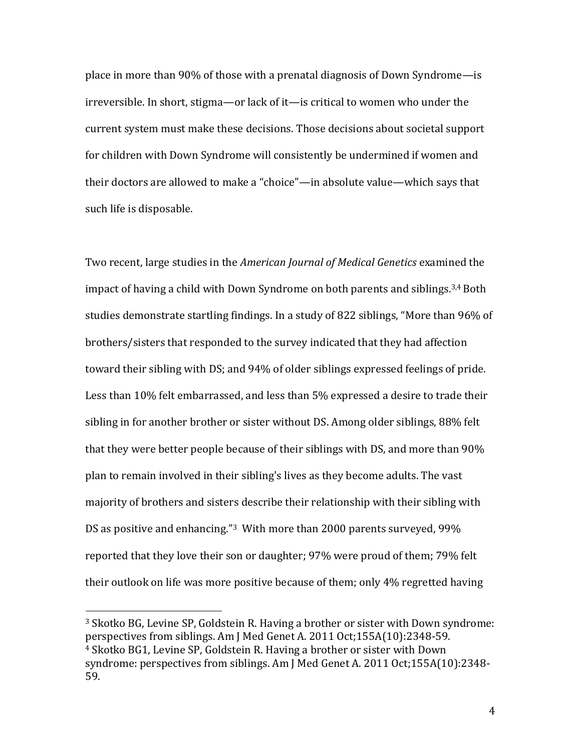place in more than 90% of those with a prenatal diagnosis of Down Syndrome—is irreversible. In short, stigma—or lack of it—is critical to women who under the current system must make these decisions. Those decisions about societal support for children with Down Syndrome will consistently be undermined if women and their doctors are allowed to make a "choice"—in absolute value—which says that such life is disposable.

Two recent, large studies in the *American Journal of Medical Genetics* examined the impact of having a child with Down Syndrome on both parents and siblings.3,4Both studies demonstrate startling findings. In a study of 822 siblings, "More than 96% of brothers/sisters that responded to the survey indicated that they had affection toward their sibling with DS; and 94% of older siblings expressed feelings of pride. Less than 10% felt embarrassed, and less than 5% expressed a desire to trade their sibling in for another brother or sister without DS. Among older siblings, 88% felt that they were better people because of their siblings with DS, and more than 90% plan to remain involved in their sibling's lives as they become adults. The vast majority of brothers and sisters describe their relationship with their sibling with DS as positive and enhancing."<sup>3</sup> With more than 2000 parents surveyed, 99% reported that they love their son or daughter; 97% were proud of them; 79% felt their outlook on life was more positive because of them; only 4% regretted having

l

<sup>3</sup> Skotko BG, Levine SP, Goldstein R. Having a brother or sister with Down syndrome: perspectives from siblings. Am J Med Genet A. 2011 Oct;155A(10):2348-59. <sup>4</sup> Skotko BG1, Levine SP, Goldstein R. Having a brother or sister with Down syndrome: perspectives from siblings. Am J Med Genet A. 2011 Oct;155A(10):2348- 59.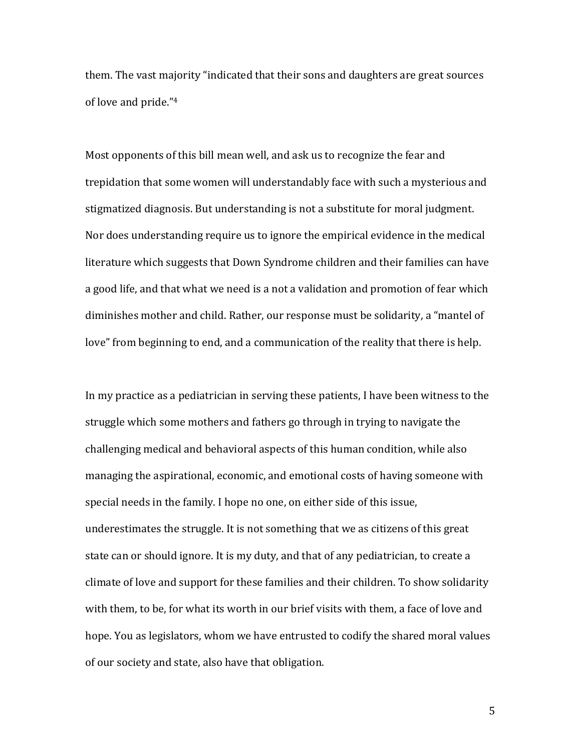them. The vast majority "indicated that their sons and daughters are great sources of love and pride." 4

Most opponents of this bill mean well, and ask us to recognize the fear and trepidation that some women will understandably face with such a mysterious and stigmatized diagnosis. But understanding is not a substitute for moral judgment. Nor does understanding require us to ignore the empirical evidence in the medical literature which suggests that Down Syndrome children and their families can have a good life, and that what we need is a not a validation and promotion of fear which diminishes mother and child. Rather, our response must be solidarity, a "mantel of love" from beginning to end, and a communication of the reality that there is help.

In my practice as a pediatrician in serving these patients, I have been witness to the struggle which some mothers and fathers go through in trying to navigate the challenging medical and behavioral aspects of this human condition, while also managing the aspirational, economic, and emotional costs of having someone with special needs in the family. I hope no one, on either side of this issue, underestimates the struggle. It is not something that we as citizens of this great state can or should ignore. It is my duty, and that of any pediatrician, to create a climate of love and support for these families and their children. To show solidarity with them, to be, for what its worth in our brief visits with them, a face of love and hope. You as legislators, whom we have entrusted to codify the shared moral values of our society and state, also have that obligation.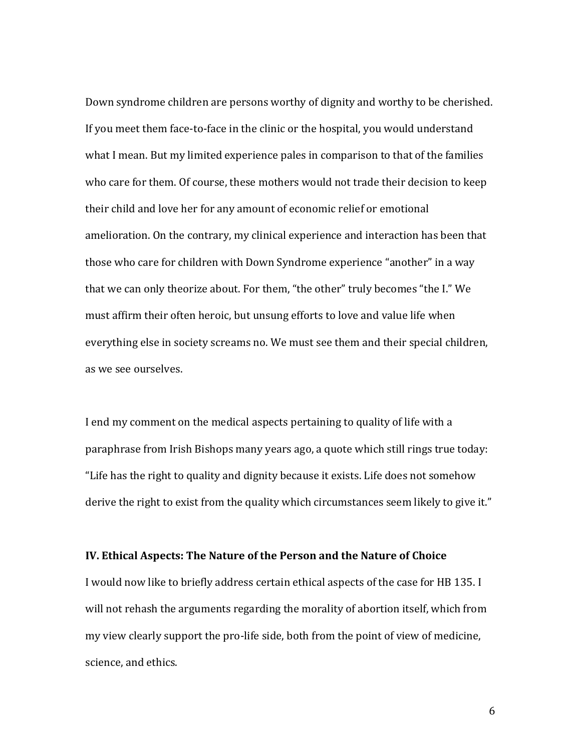Down syndrome children are persons worthy of dignity and worthy to be cherished. If you meet them face-to-face in the clinic or the hospital, you would understand what I mean. But my limited experience pales in comparison to that of the families who care for them. Of course, these mothers would not trade their decision to keep their child and love her for any amount of economic relief or emotional amelioration. On the contrary, my clinical experience and interaction has been that those who care for children with Down Syndrome experience "another" in a way that we can only theorize about. For them, "the other" truly becomes "the I." We must affirm their often heroic, but unsung efforts to love and value life when everything else in society screams no. We must see them and their special children, as we see ourselves.

I end my comment on the medical aspects pertaining to quality of life with a paraphrase from Irish Bishops many years ago, a quote which still rings true today: "Life has the right to quality and dignity because it exists. Life does not somehow derive the right to exist from the quality which circumstances seem likely to give it."

# **IV. Ethical Aspects: The Nature of the Person and the Nature of Choice**

I would now like to briefly address certain ethical aspects of the case for HB 135. I will not rehash the arguments regarding the morality of abortion itself, which from my view clearly support the pro-life side, both from the point of view of medicine, science, and ethics.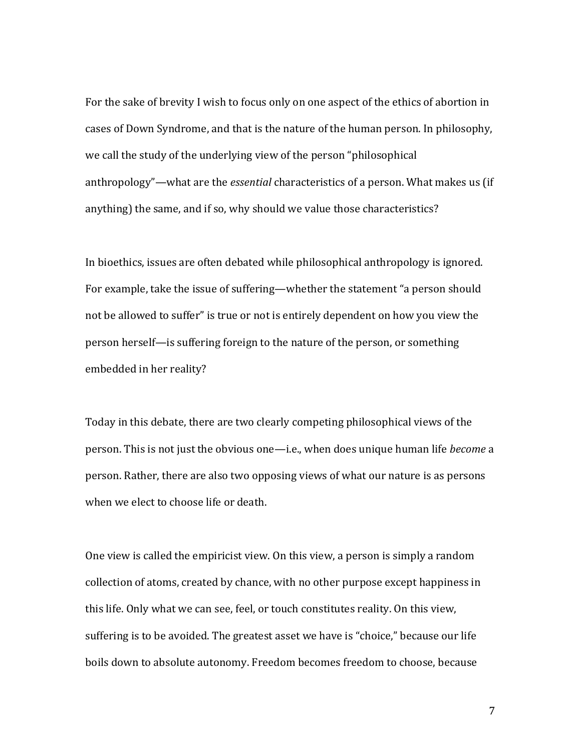For the sake of brevity I wish to focus only on one aspect of the ethics of abortion in cases of Down Syndrome, and that is the nature of the human person. In philosophy, we call the study of the underlying view of the person "philosophical anthropology"—what are the *essential* characteristics of a person. What makes us (if anything) the same, and if so, why should we value those characteristics?

In bioethics, issues are often debated while philosophical anthropology is ignored. For example, take the issue of suffering—whether the statement "a person should not be allowed to suffer" is true or not is entirely dependent on how you view the person herself—is suffering foreign to the nature of the person, or something embedded in her reality?

Today in this debate, there are two clearly competing philosophical views of the person. This is not just the obvious one—i.e., when does unique human life *become* a person. Rather, there are also two opposing views of what our nature is as persons when we elect to choose life or death.

One view is called the empiricist view. On this view, a person is simply a random collection of atoms, created by chance, with no other purpose except happiness in this life. Only what we can see, feel, or touch constitutes reality. On this view, suffering is to be avoided. The greatest asset we have is "choice," because our life boils down to absolute autonomy. Freedom becomes freedom to choose, because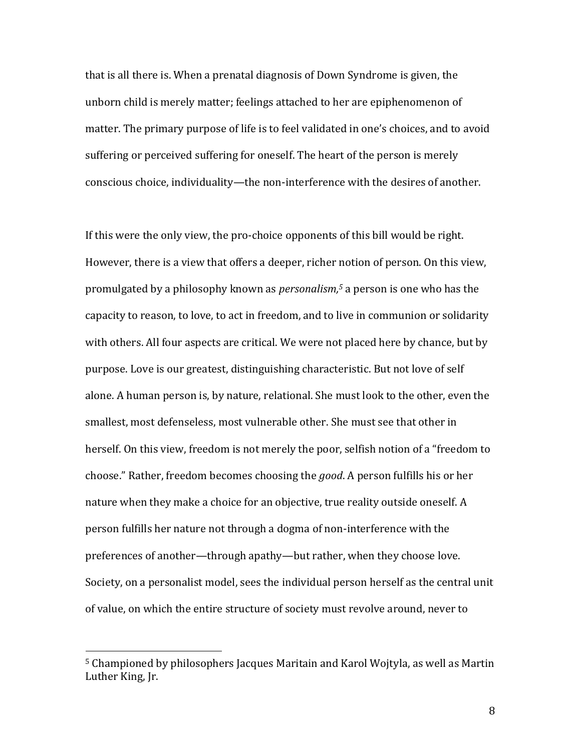that is all there is. When a prenatal diagnosis of Down Syndrome is given, the unborn child is merely matter; feelings attached to her are epiphenomenon of matter. The primary purpose of life is to feel validated in one's choices, and to avoid suffering or perceived suffering for oneself. The heart of the person is merely conscious choice, individuality—the non-interference with the desires of another.

If this were the only view, the pro-choice opponents of this bill would be right. However, there is a view that offers a deeper, richer notion of person. On this view, promulgated by a philosophy known as *personalism, <sup>5</sup>* a person is one who has the capacity to reason, to love, to act in freedom, and to live in communion or solidarity with others. All four aspects are critical. We were not placed here by chance, but by purpose. Love is our greatest, distinguishing characteristic. But not love of self alone. A human person is, by nature, relational. She must look to the other, even the smallest, most defenseless, most vulnerable other. She must see that other in herself. On this view, freedom is not merely the poor, selfish notion of a "freedom to choose." Rather, freedom becomes choosing the *good*. A person fulfills his or her nature when they make a choice for an objective, true reality outside oneself. A person fulfills her nature not through a dogma of non-interference with the preferences of another—through apathy—but rather, when they choose love. Society, on a personalist model, sees the individual person herself as the central unit of value, on which the entire structure of society must revolve around, never to

 $\overline{\phantom{a}}$ 

<sup>5</sup> Championed by philosophers Jacques Maritain and Karol Wojtyla, as well as Martin Luther King, Jr.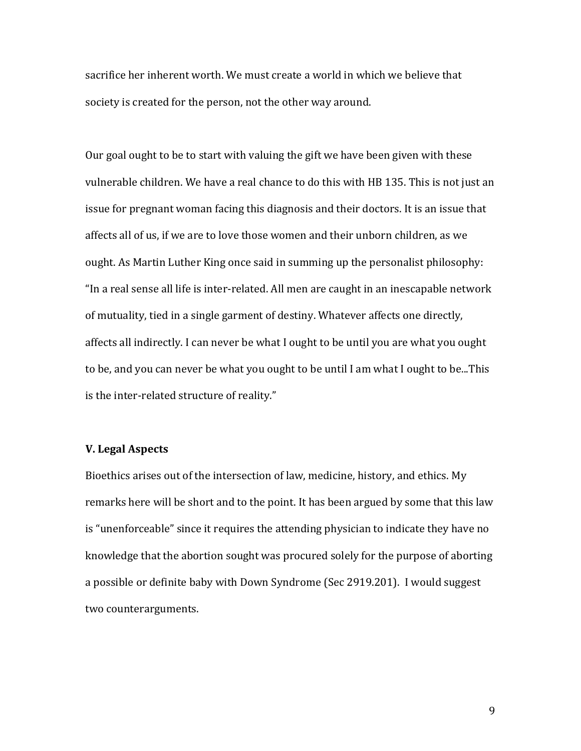sacrifice her inherent worth. We must create a world in which we believe that society is created for the person, not the other way around.

Our goal ought to be to start with valuing the gift we have been given with these vulnerable children. We have a real chance to do this with HB 135. This is not just an issue for pregnant woman facing this diagnosis and their doctors. It is an issue that affects all of us, if we are to love those women and their unborn children, as we ought. As Martin Luther King once said in summing up the personalist philosophy: "In a real sense all life is inter-related. All men are caught in an inescapable network of mutuality, tied in a single garment of destiny. Whatever affects one directly, affects all indirectly. I can never be what I ought to be until you are what you ought to be, and you can never be what you ought to be until I am what I ought to be...This is the inter-related structure of reality."

## **V. Legal Aspects**

Bioethics arises out of the intersection of law, medicine, history, and ethics. My remarks here will be short and to the point. It has been argued by some that this law is "unenforceable" since it requires the attending physician to indicate they have no knowledge that the abortion sought was procured solely for the purpose of aborting a possible or definite baby with Down Syndrome (Sec 2919.201). I would suggest two counterarguments.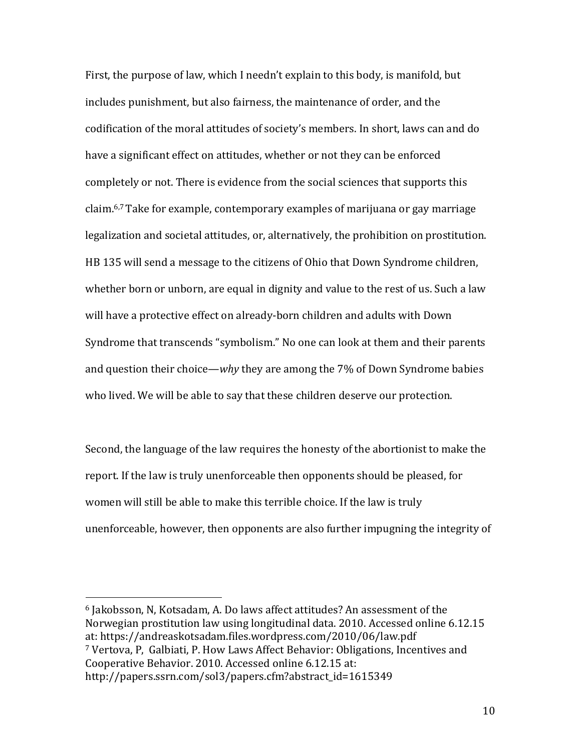First, the purpose of law, which I needn't explain to this body, is manifold, but includes punishment, but also fairness, the maintenance of order, and the codification of the moral attitudes of society's members. In short, laws can and do have a significant effect on attitudes, whether or not they can be enforced completely or not. There is evidence from the social sciences that supports this claim.6,7 Take for example, contemporary examples of marijuana or gay marriage legalization and societal attitudes, or, alternatively, the prohibition on prostitution. HB 135 will send a message to the citizens of Ohio that Down Syndrome children, whether born or unborn, are equal in dignity and value to the rest of us. Such a law will have a protective effect on already-born children and adults with Down Syndrome that transcends "symbolism." No one can look at them and their parents and question their choice—*why* they are among the 7% of Down Syndrome babies who lived. We will be able to say that these children deserve our protection.

Second, the language of the law requires the honesty of the abortionist to make the report. If the law is truly unenforceable then opponents should be pleased, for women will still be able to make this terrible choice. If the law is truly unenforceable, however, then opponents are also further impugning the integrity of

<sup>6</sup> Jakobsson, N, Kotsadam, A. Do laws affect attitudes? An assessment of the Norwegian prostitution law using longitudinal data. 2010. Accessed online 6.12.15 at: https://andreaskotsadam.files.wordpress.com/2010/06/law.pdf <sup>7</sup> Vertova, P, Galbiati, P. How Laws Affect Behavior: Obligations, Incentives and

Cooperative Behavior. 2010. Accessed online 6.12.15 at:

 $\overline{\phantom{a}}$ 

http://papers.ssrn.com/sol3/papers.cfm?abstract\_id=1615349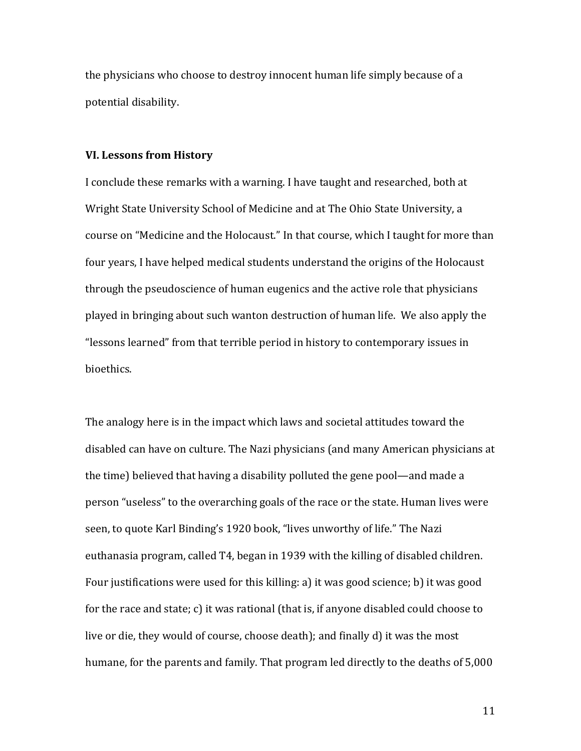the physicians who choose to destroy innocent human life simply because of a potential disability.

#### **VI. Lessons from History**

I conclude these remarks with a warning. I have taught and researched, both at Wright State University School of Medicine and at The Ohio State University, a course on "Medicine and the Holocaust." In that course, which I taught for more than four years, I have helped medical students understand the origins of the Holocaust through the pseudoscience of human eugenics and the active role that physicians played in bringing about such wanton destruction of human life. We also apply the "lessons learned" from that terrible period in history to contemporary issues in bioethics.

The analogy here is in the impact which laws and societal attitudes toward the disabled can have on culture. The Nazi physicians (and many American physicians at the time) believed that having a disability polluted the gene pool—and made a person "useless" to the overarching goals of the race or the state. Human lives were seen, to quote Karl Binding's 1920 book, "lives unworthy of life." The Nazi euthanasia program, called T4, began in 1939 with the killing of disabled children. Four justifications were used for this killing: a) it was good science; b) it was good for the race and state; c) it was rational (that is, if anyone disabled could choose to live or die, they would of course, choose death); and finally d) it was the most humane, for the parents and family. That program led directly to the deaths of 5,000